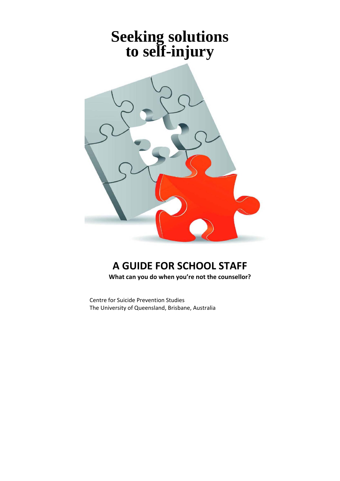# **Seeking solutions to self-injury**



# **A GUIDE FOR SCHOOL STAFF**

**What can you do when you're not the counsellor?**

Centre for Suicide Prevention Studies The University of Queensland, Brisbane, Australia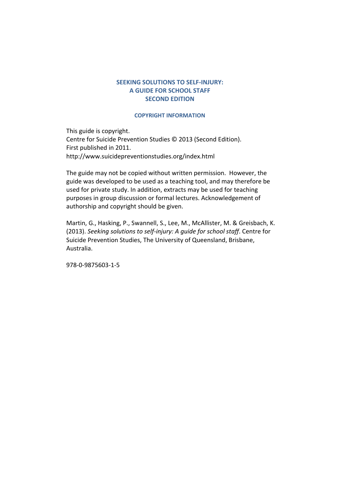#### **SEEKING SOLUTIONS TO SELF‐INJURY: A GUIDE FOR SCHOOL STAFF SECOND EDITION**

#### **COPYRIGHT INFORMATION**

This guide is copyright. Centre for Suicide Prevention Studies © 2013 (Second Edition). First published in 2011. http://www.suicidepreventionstudies.org/index.html

The guide may not be copied without written permission. However, the guide was developed to be used as a teaching tool, and may therefore be used for private study. In addition, extracts may be used for teaching purposes in group discussion or formal lectures. Acknowledgement of authorship and copyright should be given.

Martin, G., Hasking, P., Swannell, S., Lee, M., McAllister, M. & Greisbach, K. (2013). *Seeking solutions to self‐injury: A guide for school staff*. Centre for Suicide Prevention Studies, The University of Queensland, Brisbane, Australia.

978‐0‐9875603‐1‐5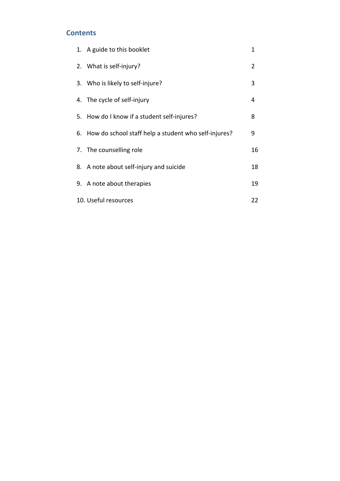# **Contents**

| 1. A guide to this booklet                              | 1   |
|---------------------------------------------------------|-----|
| 2. What is self-injury?                                 | 2   |
| 3. Who is likely to self-injure?                        | 3   |
| 4. The cycle of self-injury                             | 4   |
| 5. How do I know if a student self-injures?             | 8   |
| 6. How do school staff help a student who self-injures? | 9   |
| 7. The counselling role                                 | 16  |
| 8. A note about self-injury and suicide                 | 18  |
| 9. A note about therapies                               | 19  |
| 10. Useful resources                                    | 22. |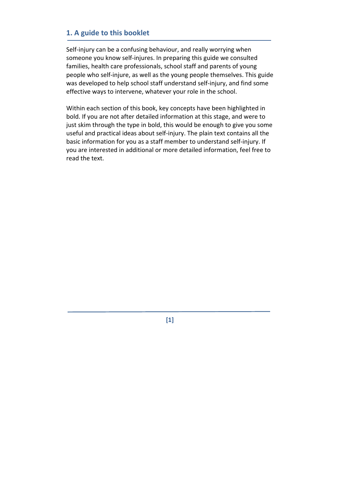# **1. A guide to this booklet**

Self-injury can be a confusing behaviour, and really worrying when someone you know self‐injures. In preparing this guide we consulted families, health care professionals, school staff and parents of young people who self‐injure, as well as the young people themselves. This guide was developed to help school staff understand self-injury, and find some effective ways to intervene, whatever your role in the school.

Within each section of this book, key concepts have been highlighted in bold. If you are not after detailed information at this stage, and were to just skim through the type in bold, this would be enough to give you some useful and practical ideas about self‐injury. The plain text contains all the basic information for you as a staff member to understand self‐injury. If you are interested in additional or more detailed information, feel free to read the text.

**[1]**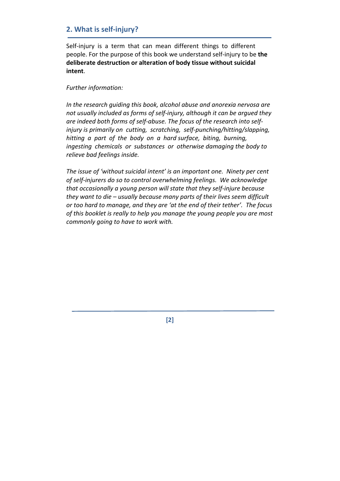# **2. What is self‐injury?**

Self-injury is a term that can mean different things to different people. For the purpose of this book we understand self‐injury to be **the deliberate destruction or alteration of body tissue without suicidal intent**.

#### *Further information:*

*In the research guiding this book, alcohol abuse and anorexia nervosa are not usually included as forms of self‐injury, although it can be argued they are indeed both forms of self‐abuse. The focus of the research into self‐ injury is primarily on cutting, scratching, self‐punching/hitting/slapping,*  hitting a part of the body on a hard surface, biting, burning, *ingesting chemicals or substances or otherwise damaging the body to relieve bad feelings inside.*

*The issue of 'without suicidal intent' is an important one. Ninety per cent of self‐injurers do so to control overwhelming feelings. We acknowledge that occasionally a young person will state that they self‐injure because they want to die – usually because many parts of their lives seem difficult or too hard to manage, and they are 'at the end of their tether'. The focus of this booklet is really to help you manage the young people you are most commonly going to have to work with.* 

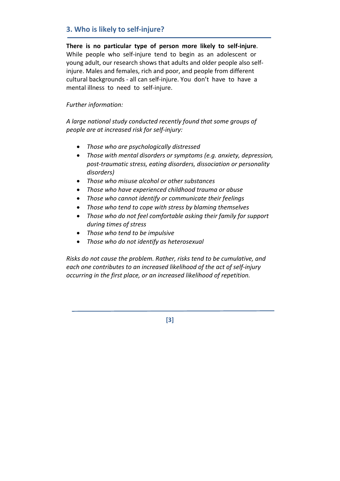# **3. Who is likely to self‐injure?**

There is no particular type of person more likely to self-injure. While people who self-injure tend to begin as an adolescent or young adult, our research shows that adults and older people also self‐ injure. Males and females, rich and poor, and people from different cultural backgrounds ‐ all can self‐injure. You don't have to have a mental illness to need to self‐injure.

#### *Further information:*

*A large national study conducted recently found that some groups of people are at increased risk for self‐injury:*

- *Those who are psychologically distressed*
- *Those with mental disorders or symptoms (e.g. anxiety, depression, post‐traumatic stress, eating disorders, dissociation or personality disorders)*
- *Those who misuse alcohol or other substances*
- *Those who have experienced childhood trauma or abuse*
- *Those who cannot identify or communicate their feelings*
- *Those who tend to cope with stress by blaming themselves*
- *Those who do not feel comfortable asking their family for support during times of stress*
- *Those who tend to be impulsive*
- *Those who do not identify as heterosexual*

*Risks do not cause the problem. Rather, risks tend to be cumulative, and each one contributes to an increased likelihood of the act of self‐injury occurring in the first place, or an increased likelihood of repetition.*

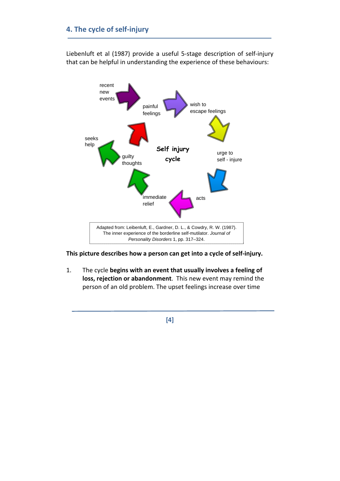Liebenluft et al (1987) provide a useful 5‐stage description of self‐injury that can be helpful in understanding the experience of these behaviours:



**This picture describes how a person can get into a cycle of self‐injury.** 

1. The cycle **begins with an event that usually involves a feeling of loss, rejection or abandonment**. This new event may remind the person of an old problem. The upset feelings increase over time

**[4]**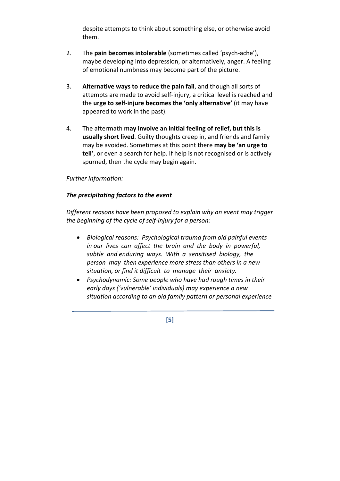despite attempts to think about something else, or otherwise avoid them.

- 2. The **pain becomes intolerable** (sometimes called 'psych‐ache'), maybe developing into depression, or alternatively, anger. A feeling of emotional numbness may become part of the picture.
- 3. **Alternative ways to reduce the pain fail**, and though all sorts of attempts are made to avoid self‐injury, a critical level is reached and the **urge to self‐injure becomes the 'only alternative'** (it may have appeared to work in the past).
- 4. The aftermath **may involve an initial feeling of relief, but this is usually short lived**. Guilty thoughts creep in, and friends and family may be avoided. Sometimes at this point there **may be 'an urge to tell'**, or even a search for help. If help is not recognised or is actively spurned, then the cycle may begin again.

#### *Further information:*

#### *The precipitating factors to the event*

*Different reasons have been proposed to explain why an event may trigger the beginning of the cycle of self‐injury for a person:*

- *Biological reasons: Psychological trauma from old painful events* in our lives can affect the brain and the body in powerful, *subtle and enduring ways. With a sensitised biology, the person may then experience more stress than others in a new situation, or find it difficult to manage their anxiety.*
- *Psychodynamic: Some people who have had rough times in their early days ('vulnerable' individuals) may experience a new situation according to an old family pattern or personal experience*

**[5]**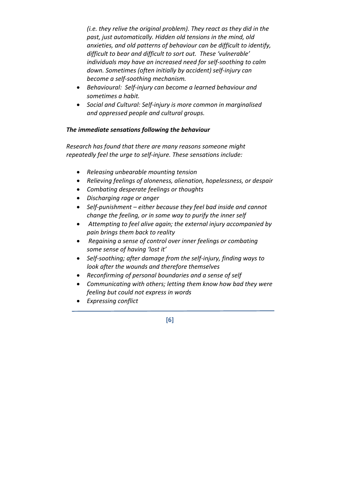*(i.e. they relive the original problem). They react as they did in the past, just automatically. Hidden old tensions in the mind, old anxieties, and old patterns of behaviour can be difficult to identify, difficult to bear and difficult to sort out. These 'vulnerable' individuals may have an increased need for self‐soothing to calm down. Sometimes (often initially by accident) self‐injury can become a self‐soothing mechanism.*

- *Behavioural: Self‐injury can become a learned behaviour and sometimes a habit.*
- *Social and Cultural: Self‐injury is more common in marginalised and oppressed people and cultural groups.*

# *The immediate sensations following the behaviour*

*Research has found that there are many reasons someone might repeatedly feel the urge to self‐injure. These sensations include:* 

- *Releasing unbearable mounting tension*
- *Relieving feelings of aloneness, alienation, hopelessness, or despair*
- *Combating desperate feelings or thoughts*
- *Discharging rage or anger*
- *Self‐punishment – either because they feel bad inside and cannot change the feeling, or in some way to purify the inner self*
- *Attempting to feel alive again; the external injury accompanied by pain brings them back to reality*
- *Regaining a sense of control over inner feelings or combating some sense of having 'lost it'*
- *Self‐soothing; after damage from the self‐injury, finding ways to look after the wounds and therefore themselves*
- *Reconfirming of personal boundaries and a sense of self*
- *Communicating with others; letting them know how bad they were feeling but could not express in words*
- *Expressing conflict*

**[6]**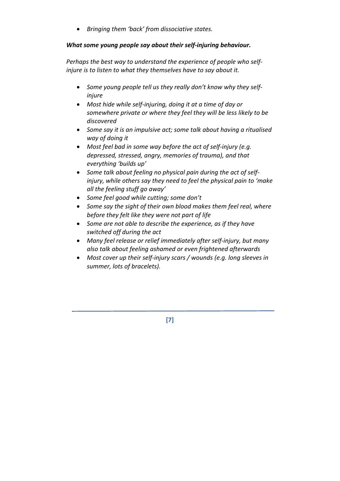• *Bringing them 'back' from dissociative states.* 

#### *What some young people say about their self‐injuring behaviour.*

*Perhaps the best way to understand the experience of people who self‐ injure is to listen to what they themselves have to say about it.*

- *Some young people tell us they really don't know why they self‐ injure*
- *Most hide while self‐injuring, doing it at a time of day or somewhere private or where they feel they will be less likely to be discovered*
- *Some say it is an impulsive act; some talk about having a ritualised way of doing it*
- *Most feel bad in some way before the act of self‐injury (e.g. depressed, stressed, angry, memories of trauma), and that everything 'builds up'*
- *Some talk about feeling no physical pain during the act of self‐ injury, while others say they need to feel the physical pain to 'make all the feeling stuff go away'*
- *Some feel good while cutting; some don't*
- *Some say the sight of their own blood makes them feel real, where before they felt like they were not part of life*
- *Some are not able to describe the experience, as if they have switched off during the act*
- *Many feel release or relief immediately after self‐injury, but many also talk about feeling ashamed or even frightened afterwards*
- *Most cover up their self‐injury scars / wounds (e.g. long sleeves in summer, lots of bracelets).*

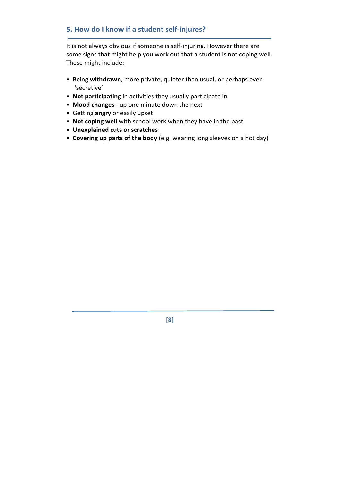# **5. How do I know if a student self‐injures?**

It is not always obvious if someone is self‐injuring. However there are some signs that might help you work out that a student is not coping well. These might include:

- Being **withdrawn**, more private, quieter than usual, or perhaps even 'secretive'
- **Not participating** in activities they usually participate in
- **Mood changes** ‐ up one minute down the next
- Getting **angry** or easily upset
- **Not coping well** with school work when they have in the past
- **Unexplained cuts or scratches**
- **Covering up parts of the body** (e.g. wearing long sleeves on a hot day)

**[8]**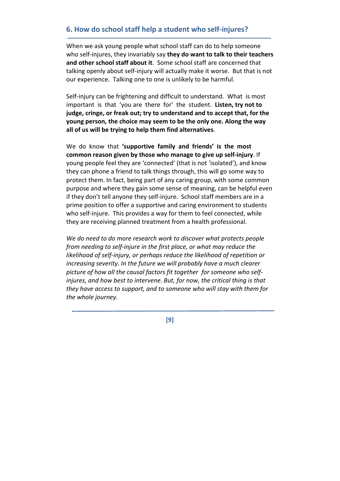# **6. How do school staff help a student who self‐injures?**

When we ask young people what school staff can do to help someone who self‐injures, they invariably say **they do want to talk to their teachers and other school staff about it**. Some school staff are concerned that talking openly about self‐injury will actually make it worse. But that is not our experience. Talking one to one is unlikely to be harmful.

Self-injury can be frightening and difficult to understand. What is most important is that 'you are there for' the student. **Listen, try not to judge, cringe, or freak out; try to understand and to accept that, for the young person, the choice may seem to be the only one. Along the way all of us will be trying to help them find alternatives**.

We do know that **'supportive family and friends' is the most common reason given by those who manage to give up self‐injury**. If young people feel they are 'connected' (that is not 'isolated'), and know they can phone a friend to talk things through, this will go some way to protect them. In fact, being part of any caring group, with some common purpose and where they gain some sense of meaning, can be helpful even if they don't tell anyone they self‐injure. School staff members are in a prime position to offer a supportive and caring environment to students who self-injure. This provides a way for them to feel connected, while they are receiving planned treatment from a health professional.

*We do need to do more research work to discover what protects people from needing to self‐injure in the first place, or what may reduce the likelihood of self‐injury, or perhaps reduce the likelihood of repetition or increasing severity. In the future we will probably have a much clearer picture of how all the causal factors fit together for someone who self‐ injures, and how best to intervene. But, for now, the critical thing is that they have access to support, and to someone who will stay with them for the whole journey.*

**[9]**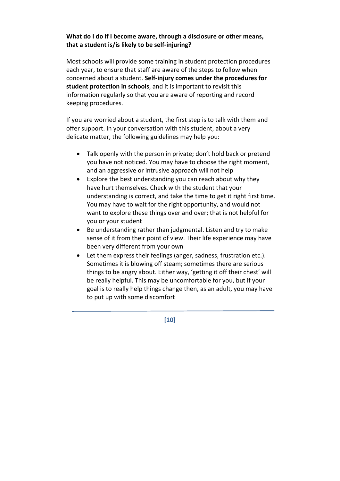#### **What do I do if I become aware, through a disclosure or other means, that a student is/is likely to be self‐injuring?**

Most schools will provide some training in student protection procedures each year, to ensure that staff are aware of the steps to follow when concerned about a student. **Self‐injury comes under the procedures for student protection in schools**, and it is important to revisit this information regularly so that you are aware of reporting and record keeping procedures.

If you are worried about a student, the first step is to talk with them and offer support. In your conversation with this student, about a very delicate matter, the following guidelines may help you:

- Talk openly with the person in private; don't hold back or pretend you have not noticed. You may have to choose the right moment, and an aggressive or intrusive approach will not help
- Explore the best understanding you can reach about why they have hurt themselves. Check with the student that your understanding is correct, and take the time to get it right first time. You may have to wait for the right opportunity, and would not want to explore these things over and over; that is not helpful for you or your student
- Be understanding rather than judgmental. Listen and try to make sense of it from their point of view. Their life experience may have been very different from your own
- Let them express their feelings (anger, sadness, frustration etc.). Sometimes it is blowing off steam; sometimes there are serious things to be angry about. Either way, 'getting it off their chest' will be really helpful. This may be uncomfortable for you, but if your goal is to really help things change then, as an adult, you may have to put up with some discomfort

**[10]**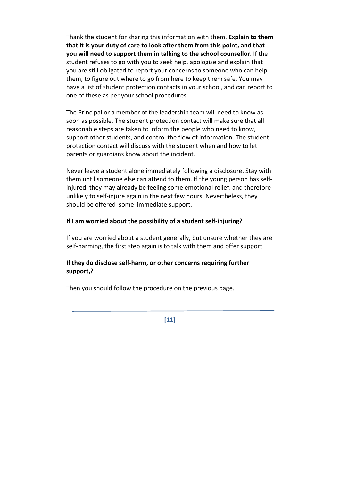Thank the student for sharing this information with them. **Explain to them that it is your duty of care to look after them from this point, and that you will need to support them in talking to the school counsellor**. If the student refuses to go with you to seek help, apologise and explain that you are still obligated to report your concerns to someone who can help them, to figure out where to go from here to keep them safe. You may have a list of student protection contacts in your school, and can report to one of these as per your school procedures.

The Principal or a member of the leadership team will need to know as soon as possible. The student protection contact will make sure that all reasonable steps are taken to inform the people who need to know, support other students, and control the flow of information. The student protection contact will discuss with the student when and how to let parents or guardians know about the incident.

Never leave a student alone immediately following a disclosure. Stay with them until someone else can attend to them. If the young person has self‐ injured, they may already be feeling some emotional relief, and therefore unlikely to self‐injure again in the next few hours. Nevertheless, they should be offered some immediate support.

#### **If I am worried about the possibility of a student self‐injuring?**

If you are worried about a student generally, but unsure whether they are self-harming, the first step again is to talk with them and offer support.

#### **If they do disclose self‐harm, or other concerns requiring further support,?**

Then you should follow the procedure on the previous page.

**[11]**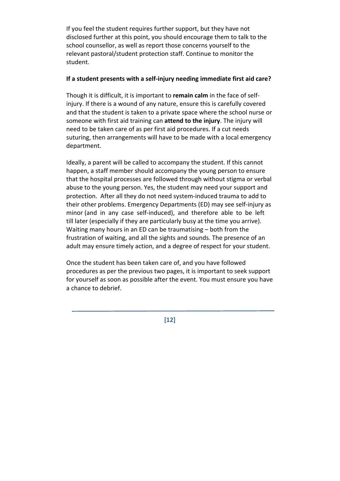If you feel the student requires further support, but they have not disclosed further at this point, you should encourage them to talk to the school counsellor, as well as report those concerns yourself to the relevant pastoral/student protection staff. Continue to monitor the student.

#### **If a student presents with a self‐injury needing immediate first aid care?**

Though it is difficult, it is important to **remain calm** in the face of self‐ injury. If there is a wound of any nature, ensure this is carefully covered and that the student is taken to a private space where the school nurse or someone with first aid training can **attend to the injury**. The injury will need to be taken care of as per first aid procedures. If a cut needs suturing, then arrangements will have to be made with a local emergency department.

Ideally, a parent will be called to accompany the student. If this cannot happen, a staff member should accompany the young person to ensure that the hospital processes are followed through without stigma or verbal abuse to the young person. Yes, the student may need your support and protection. After all they do not need system‐induced trauma to add to their other problems. Emergency Departments (ED) may see self‐injury as minor (and in any case self-induced), and therefore able to be left till later (especially if they are particularly busy at the time you arrive). Waiting many hours in an ED can be traumatising – both from the frustration of waiting, and all the sights and sounds. The presence of an adult may ensure timely action, and a degree of respect for your student.

Once the student has been taken care of, and you have followed procedures as per the previous two pages, it is important to seek support for yourself as soon as possible after the event. You must ensure you have a chance to debrief.

**[12]**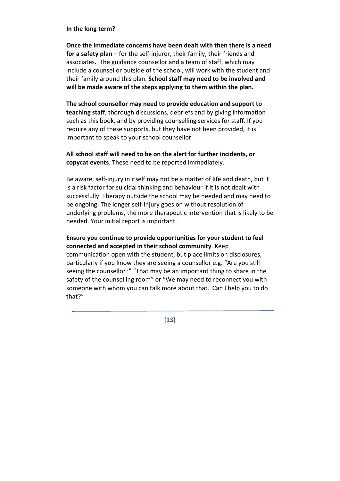#### **In the long term?**

**Once the immediate concerns have been dealt with then there is a need for a safety plan** – for the self‐injurer, their family, their friends and associates**.** The guidance counsellor and a team of staff, which may include a counsellor outside of the school, will work with the student and their family around this plan. **School staff may need to be involved and will be made aware of the steps applying to them within the plan.**

**The school counsellor may need to provide education and support to teaching staff**, thorough discussions, debriefs and by giving information such as this book, and by providing counselling services for staff. If you require any of these supports, but they have not been provided, it is important to speak to your school counsellor.

**All school staff will need to be on the alert for further incidents, or copycat events**. These need to be reported immediately.

Be aware, self‐injury in itself may not be a matter of life and death, but it is a risk factor for suicidal thinking and behaviour if it is not dealt with successfully. Therapy outside the school may be needed and may need to be ongoing. The longer self‐injury goes on without resolution of underlying problems, the more therapeutic intervention that is likely to be needed. Your initial report is important.

#### **Ensure you continue to provide opportunities for your student to feel connected and accepted in their school community**. Keep

communication open with the student, but place limits on disclosures, particularly if you know they are seeing a counsellor e.g. "Are you still seeing the counsellor?" "That may be an important thing to share in the safety of the counselling room" or "We may need to reconnect you with someone with whom you can talk more about that. Can I help you to do that?"

**[13]**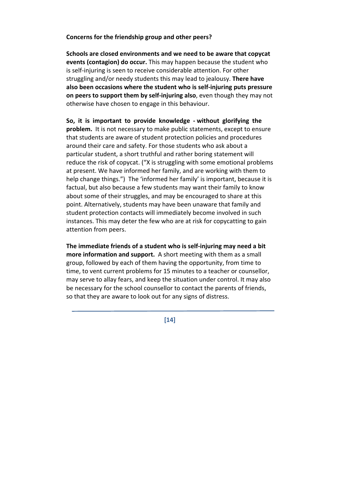#### **Concerns for the friendship group and other peers?**

**Schools are closed environments and we need to be aware that copycat events (contagion) do occur.** This may happen because the student who is self‐injuring is seen to receive considerable attention. For other struggling and/or needy students this may lead to jealousy. **There have also been occasions where the student who is self‐injuring puts pressure on peers to support them by self‐injuring also**, even though they may not otherwise have chosen to engage in this behaviour.

**So, it is important to provide knowledge ‐ without glorifying the problem.** It is not necessary to make public statements, except to ensure that students are aware of student protection policies and procedures around their care and safety. For those students who ask about a particular student, a short truthful and rather boring statement will reduce the risk of copycat. ("X is struggling with some emotional problems at present. We have informed her family, and are working with them to help change things.") The 'informed her family' is important, because it is factual, but also because a few students may want their family to know about some of their struggles, and may be encouraged to share at this point. Alternatively, students may have been unaware that family and student protection contacts will immediately become involved in such instances. This may deter the few who are at risk for copycatting to gain attention from peers.

**The immediate friends of a student who is self‐injuring may need a bit more information and support.** A short meeting with them as a small group, followed by each of them having the opportunity, from time to time, to vent current problems for 15 minutes to a teacher or counsellor, may serve to allay fears, and keep the situation under control. It may also be necessary for the school counsellor to contact the parents of friends, so that they are aware to look out for any signs of distress.

**[14]**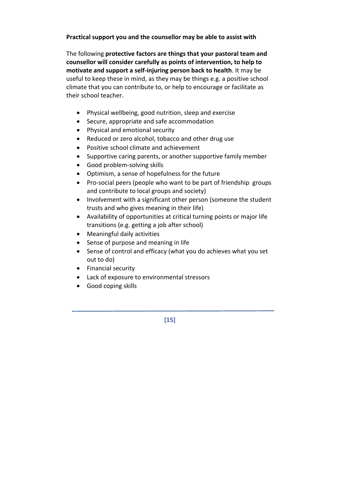**Practical support you and the counsellor may be able to assist with**

The following **protective factors are things that your pastoral team and counsellor will consider carefully as points of intervention, to help to motivate and support a self‐injuring person back to health**. It may be useful to keep these in mind, as they may be things e.g. a positive school climate that you can contribute to, or help to encourage or facilitate as their school teacher.

- Physical wellbeing, good nutrition, sleep and exercise
- Secure, appropriate and safe accommodation
- Physical and emotional security
- Reduced or zero alcohol, tobacco and other drug use
- Positive school climate and achievement
- Supportive caring parents, or another supportive family member
- Good problem-solving skills
- Optimism, a sense of hopefulness for the future
- Pro‐social peers (people who want to be part of friendship groups and contribute to local groups and society)
- Involvement with a significant other person (someone the student trusts and who gives meaning in their life)
- Availability of opportunities at critical turning points or major life transitions (e.g. getting a job after school)
- Meaningful daily activities
- Sense of purpose and meaning in life
- Sense of control and efficacy (what you do achieves what you set out to do)
- Financial security
- Lack of exposure to environmental stressors
- Good coping skills

**[15]**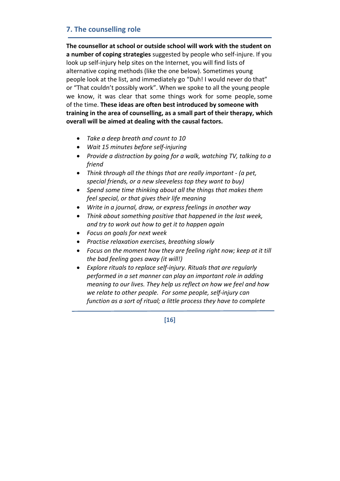# **7. The counselling role**

**The counsellor at school or outside school will work with the student on a number of coping strategies** suggested by people who self‐injure. If you look up self‐injury help sites on the Internet, you will find lists of alternative coping methods (like the one below). Sometimes young people look at the list, and immediately go "Duh! I would never do that" or "That couldn't possibly work". When we spoke to all the young people we know, it was clear that some things work for some people, some of the time. **These ideas are often best introduced by someone with training in the area of counselling, as a small part of their therapy, which overall will be aimed at dealing with the causal factors.** 

- *Take a deep breath and count to 10*
- *Wait 15 minutes before self‐injuring*
- *Provide a distraction by going for a walk, watching TV, talking to a friend*
- *Think through all the things that are really important ‐ (a pet, special friends, or a new sleeveless top they want to buy)*
- *Spend some time thinking about all the things that makes them feel special, or that gives their life meaning*
- *Write in a journal, draw, or express feelings in another way*
- *Think about something positive that happened in the last week, and try to work out how to get it to happen again*
- *Focus on goals for next week*
- *Practise relaxation exercises, breathing slowly*
- *Focus on the moment how they are feeling right now; keep at it till the bad feeling goes away (it will!)*
- *Explore rituals to replace self‐injury. Rituals that are regularly performed in a set manner can play an important role in adding meaning to our lives. They help us reflect on how we feel and how we relate to other people. For some people, self‐injury can function as a sort of ritual; a little process they have to complete*

**[16]**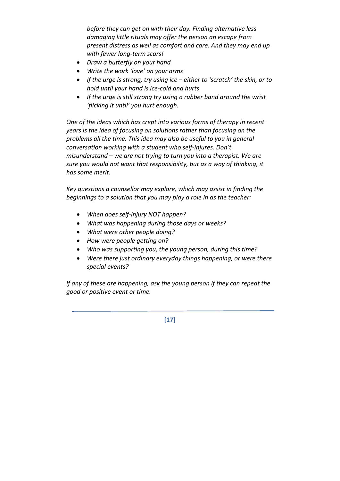*before they can get on with their day. Finding alternative less damaging little rituals may offer the person an escape from present distress as well as comfort and care. And they may end up with fewer long‐term scars!* 

- *Draw a butterfly on your hand*
- *Write the work 'love' on your arms*
- *If the urge is strong, try using ice – either to 'scratch' the skin, or to hold until your hand is ice‐cold and hurts*
- *If the urge is still strong try using a rubber band around the wrist 'flicking it until' you hurt enough.*

*One of the ideas which has crept into various forms of therapy in recent years is the idea of focusing on solutions rather than focusing on the problems all the time. This idea may also be useful to you in general conversation working with a student who self‐injures. Don't misunderstand – we are not trying to turn you into a therapist. We are sure you would not want that responsibility, but as a way of thinking, it has some merit.* 

*Key questions a counsellor may explore, which may assist in finding the beginnings to a solution that you may play a role in as the teacher:*

- *When does self‐injury NOT happen?*
- *What was happening during those days or weeks?*
- *What were other people doing?*
- *How were people getting on?*
- *Who was supporting you, the young person, during this time?*
- *Were there just ordinary everyday things happening, or were there special events?*

*If any of these are happening, ask the young person if they can repeat the good or positive event or time.* 

**[17]**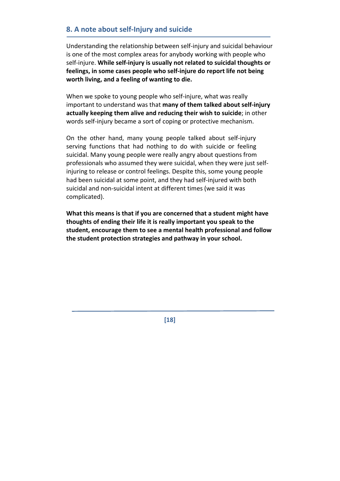# **8. A note about self‐Injury and suicide**

Understanding the relationship between self‐injury and suicidal behaviour is one of the most complex areas for anybody working with people who self‐injure. **While self‐injury is usually not related to suicidal thoughts or feelings, in some cases people who self‐injure do report life not being worth living, and a feeling of wanting to die.** 

When we spoke to young people who self-injure, what was really important to understand was that **many of them talked about self‐injury actually keeping them alive and reducing their wish to suicide**; in other words self-injury became a sort of coping or protective mechanism.

On the other hand, many young people talked about self‐injury serving functions that had nothing to do with suicide or feeling suicidal. Many young people were really angry about questions from professionals who assumed they were suicidal, when they were just self‐ injuring to release or control feelings. Despite this, some young people had been suicidal at some point, and they had self-injured with both suicidal and non‐suicidal intent at different times (we said it was complicated).

**What this means is that if you are concerned that a student might have thoughts of ending their life it is really important you speak to the student, encourage them to see a mental health professional and follow the student protection strategies and pathway in your school.** 

**[18]**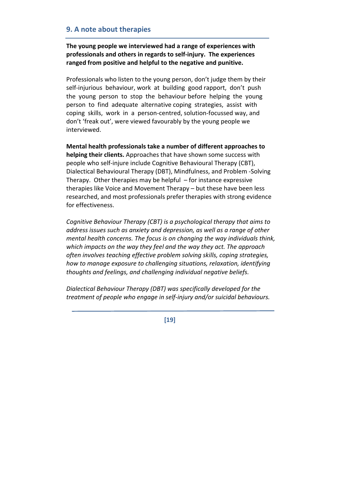# **9. A note about therapies**

**The young people we interviewed had a range of experiences with professionals and others in regards to self‐injury. The experiences ranged from positive and helpful to the negative and punitive.** 

Professionals who listen to the young person, don't judge them by their self-injurious behaviour, work at building good rapport, don't push the young person to stop the behaviour before helping the young person to find adequate alternative coping strategies, assist with coping skills, work in a person‐centred, solution‐focussed way, and don't 'freak out', were viewed favourably by the young people we interviewed.

**Mental health professionals take a number of different approaches to helping their clients.** Approaches that have shown some success with people who self‐injure include Cognitive Behavioural Therapy (CBT), Dialectical Behavioural Therapy (DBT), Mindfulness, and Problem ‐Solving Therapy. Other therapies may be helpful  $-$  for instance expressive therapies like Voice and Movement Therapy – but these have been less researched, and most professionals prefer therapies with strong evidence for effectiveness.

*Cognitive Behaviour Therapy (CBT) is a psychological therapy that aims to address issues such as anxiety and depression, as well as a range of other mental health concerns. The focus is on changing the way individuals think, which impacts on the way they feel and the way they act. The approach often involves teaching effective problem solving skills, coping strategies, how to manage exposure to challenging situations, relaxation, identifying thoughts and feelings, and challenging individual negative beliefs.* 

*Dialectical Behaviour Therapy (DBT) was specifically developed for the treatment of people who engage in self‐injury and/or suicidal behaviours.* 

**[19]**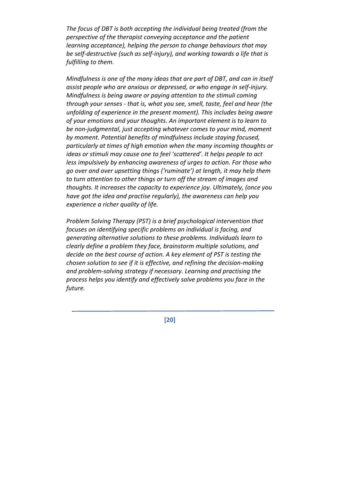*The focus of DBT is both accepting the individual being treated (from the perspective of the therapist conveying acceptance and the patient learning acceptance), helping the person to change behaviours that may be self‐destructive (such as self‐injury), and working towards a life that is fulfilling to them.* 

*Mindfulness is one of the many ideas that are part of DBT, and can in itself assist people who are anxious or depressed, or who engage in self‐injury. Mindfulness is being aware or paying attention to the stimuli coming through your senses ‐ that is, what you see, smell, taste, feel and hear (the unfolding of experience in the present moment). This includes being aware of your emotions and your thoughts. An important element is to learn to be non‐judgmental, just accepting whatever comes to your mind, moment by moment. Potential benefits of mindfulness include staying focused, particularly at times of high emotion when the many incoming thoughts or ideas or stimuli may cause one to feel 'scattered'. It helps people to act less impulsively by enhancing awareness of urges to action. For those who go over and over upsetting things ('ruminate') at length, it may help them to turn attention to other things or turn off the stream of images and thoughts. It increases the capacity to experience joy. Ultimately, (once you have got the idea and practise regularly), the awareness can help you experience a richer quality of life.* 

*Problem Solving Therapy (PST) is a brief psychological intervention that focuses on identifying specific problems an individual is facing, and generating alternative solutions to these problems. Individuals learn to clearly define a problem they face, brainstorm multiple solutions, and decide on the best course of action. A key element of PST is testing the chosen solution to see if it is effective, and refining the decision‐making and problem‐solving strategy if necessary. Learning and practising the process helps you identify and effectively solve problems you face in the* future.

**[20]**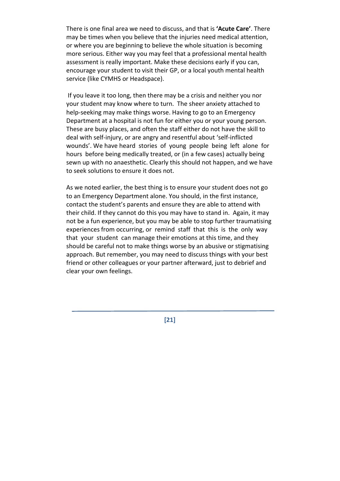There is one final area we need to discuss, and that is **'Acute Care'**. There may be times when you believe that the injuries need medical attention, or where you are beginning to believe the whole situation is becoming more serious. Either way you may feel that a professional mental health assessment is really important. Make these decisions early if you can, encourage your student to visit their GP, or a local youth mental health service (like CYMHS or Headspace).

If you leave it too long, then there may be a crisis and neither you nor your student may know where to turn. The sheer anxiety attached to help-seeking may make things worse. Having to go to an Emergency Department at a hospital is not fun for either you or your young person. These are busy places, and often the staff either do not have the skill to deal with self‐injury, or are angry and resentful about 'self‐inflicted wounds'. We have heard stories of young people being left alone for hours before being medically treated, or (in a few cases) actually being sewn up with no anaesthetic. Clearly this should not happen, and we have to seek solutions to ensure it does not.

As we noted earlier, the best thing is to ensure your student does not go to an Emergency Department alone. You should, in the first instance, contact the student's parents and ensure they are able to attend with their child. If they cannot do this you may have to stand in. Again, it may not be a fun experience, but you may be able to stop further traumatising experiences from occurring, or remind staff that this is the only way that your student can manage their emotions at this time, and they should be careful not to make things worse by an abusive or stigmatising approach. But remember, you may need to discuss things with your best friend or other colleagues or your partner afterward, just to debrief and clear your own feelings.

**[21]**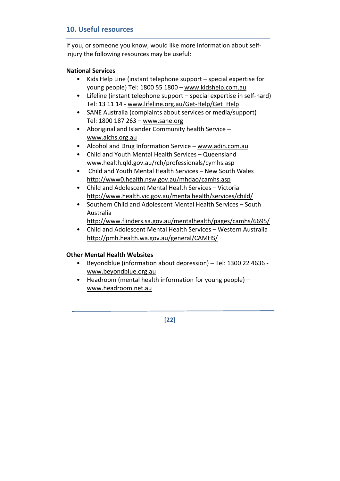# **10. Useful resources**

If you, or someone you know, would like more information about self‐ injury the following resources may be useful:

#### **National Services**

- Kids Help Line (instant telephone support special expertise for young people) Tel: 1800 55 1800 – www.kidshelp.com.au
- Lifeline (instant telephone support special expertise in self‐hard) Tel: 13 11 14 ‐ www.lifeline.org.au/Get‐Help/Get\_Help
- SANE Australia (complaints about services or media/support) Tel: 1800 187 263 – www.sane.org
- Aboriginal and Islander Community health Service www.aichs.org.au
- Alcohol and Drug Information Service www.adin.com.au
- Child and Youth Mental Health Services Queensland www.health.qld.gov.au/rch/professionals/cymhs.asp
- Child and Youth Mental Health Services New South Wales http://www0.health.nsw.gov.au/mhdao/camhs.asp
- Child and Adolescent Mental Health Services Victoria http://www.health.vic.gov.au/mentalhealth/services/child/
- Southern Child and Adolescent Mental Health Services South Australia
	- http://www.flinders.sa.gov.au/mentalhealth/pages/camhs/6695/
- Child and Adolescent Mental Health Services Western Australia http://pmh.health.wa.gov.au/general/CAMHS/

#### **Other Mental Health Websites**

- Beyondblue (information about depression) Tel: 1300 22 4636 ‐ www.beyondblue.org.au
- Headroom (mental health information for young people) www.headroom.net.au

**[22]**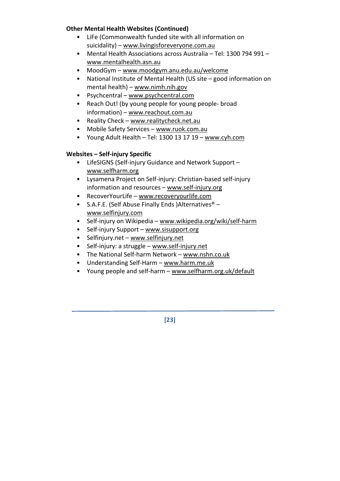#### **Other Mental Health Websites (Continued)**

- LiFe (Commonwealth funded site with all information on suicidality) – www.livingisforeveryone.com.au
- Mental Health Associations across Australia Tel: 1300 794 991 www.mentalhealth.asn.au
- MoodGym www.moodgym.anu.edu.au/welcome
- National Institute of Mental Health (US site good information on mental health) – www.nimh.nih.gov
- Psychcentral www.psychcentral.com
- Reach Out! (by young people for young people- broad information) – www.reachout.com.au
- Reality Check www.realitycheck.net.au
- Mobile Safety Services www.ruok.com.au
- Young Adult Health Tel: 1300 13 17 19 www.cyh.com

#### **Websites – Self‐injury Specific**

- LifeSIGNS (Self‐injury Guidance and Network Support www.selfharm.org
- Lysamena Project on Self‐injury: Christian‐based self‐injury information and resources – www.self‐injury.org
- RecoverYourLife www.recoveryourlife.com
- S.A.F.E. (Self Abuse Finally Ends )Alternatives® www.selfinjury.com
- Self-injury on Wikipedia www.wikipedia.org/wiki/self-harm
- Self-injury Support www.sisupport.org
- Selfinjury.net www.selfinjury.net
- Self-injury: a struggle www.self-injury.net
- The National Self‐harm Network www.nshn.co.uk
- Understanding Self‐Harm www.harm.me.uk
- Young people and self-harm www.selfharm.org.uk/default

**[23]**